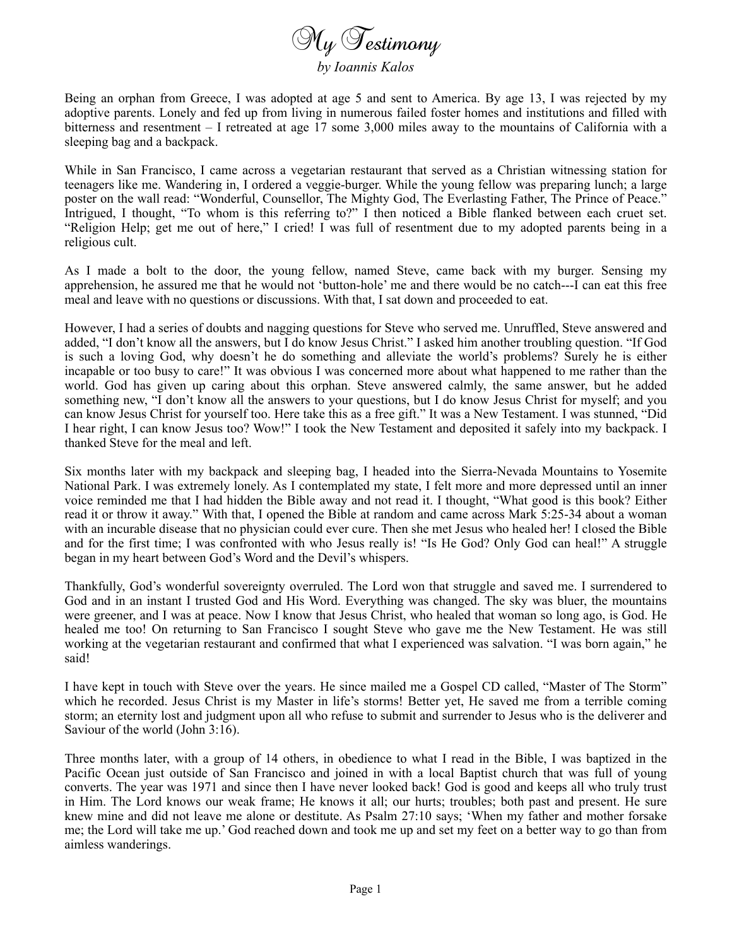

*by Ioannis Kalos*

Being an orphan from Greece, I was adopted at age 5 and sent to America. By age 13, I was rejected by my adoptive parents. Lonely and fed up from living in numerous failed foster homes and institutions and filled with bitterness and resentment – I retreated at age 17 some 3,000 miles away to the mountains of California with a sleeping bag and a backpack.

While in San Francisco, I came across a vegetarian restaurant that served as a Christian witnessing station for teenagers like me. Wandering in, I ordered a veggie-burger. While the young fellow was preparing lunch; a large poster on the wall read: "Wonderful, Counsellor, The Mighty God, The Everlasting Father, The Prince of Peace." Intrigued, I thought, "To whom is this referring to?" I then noticed a Bible flanked between each cruet set. "Religion Help; get me out of here," I cried! I was full of resentment due to my adopted parents being in a religious cult.

As I made a bolt to the door, the young fellow, named Steve, came back with my burger. Sensing my apprehension, he assured me that he would not 'button-hole' me and there would be no catch---I can eat this free meal and leave with no questions or discussions. With that, I sat down and proceeded to eat.

However, I had a series of doubts and nagging questions for Steve who served me. Unruffled, Steve answered and added, "I don't know all the answers, but I do know Jesus Christ." I asked him another troubling question. "If God is such a loving God, why doesn't he do something and alleviate the world's problems? Surely he is either incapable or too busy to care!" It was obvious I was concerned more about what happened to me rather than the world. God has given up caring about this orphan. Steve answered calmly, the same answer, but he added something new, "I don't know all the answers to your questions, but I do know Jesus Christ for myself; and you can know Jesus Christ for yourself too. Here take this as a free gift." It was a New Testament. I was stunned, "Did I hear right, I can know Jesus too? Wow!" I took the New Testament and deposited it safely into my backpack. I thanked Steve for the meal and left.

Six months later with my backpack and sleeping bag, I headed into the Sierra-Nevada Mountains to Yosemite National Park. I was extremely lonely. As I contemplated my state, I felt more and more depressed until an inner voice reminded me that I had hidden the Bible away and not read it. I thought, "What good is this book? Either read it or throw it away." With that, I opened the Bible at random and came across Mark 5:25-34 about a woman with an incurable disease that no physician could ever cure. Then she met Jesus who healed her! I closed the Bible and for the first time; I was confronted with who Jesus really is! "Is He God? Only God can heal!" A struggle began in my heart between God's Word and the Devil's whispers.

Thankfully, God's wonderful sovereignty overruled. The Lord won that struggle and saved me. I surrendered to God and in an instant I trusted God and His Word. Everything was changed. The sky was bluer, the mountains were greener, and I was at peace. Now I know that Jesus Christ, who healed that woman so long ago, is God. He healed me too! On returning to San Francisco I sought Steve who gave me the New Testament. He was still working at the vegetarian restaurant and confirmed that what I experienced was salvation. "I was born again," he said!

I have kept in touch with Steve over the years. He since mailed me a Gospel CD called, "Master of The Storm" which he recorded. Jesus Christ is my Master in life's storms! Better yet, He saved me from a terrible coming storm; an eternity lost and judgment upon all who refuse to submit and surrender to Jesus who is the deliverer and Saviour of the world (John 3:16).

Three months later, with a group of 14 others, in obedience to what I read in the Bible, I was baptized in the Pacific Ocean just outside of San Francisco and joined in with a local Baptist church that was full of young converts. The year was 1971 and since then I have never looked back! God is good and keeps all who truly trust in Him. The Lord knows our weak frame; He knows it all; our hurts; troubles; both past and present. He sure knew mine and did not leave me alone or destitute. As Psalm 27:10 says; 'When my father and mother forsake me; the Lord will take me up.' God reached down and took me up and set my feet on a better way to go than from aimless wanderings.